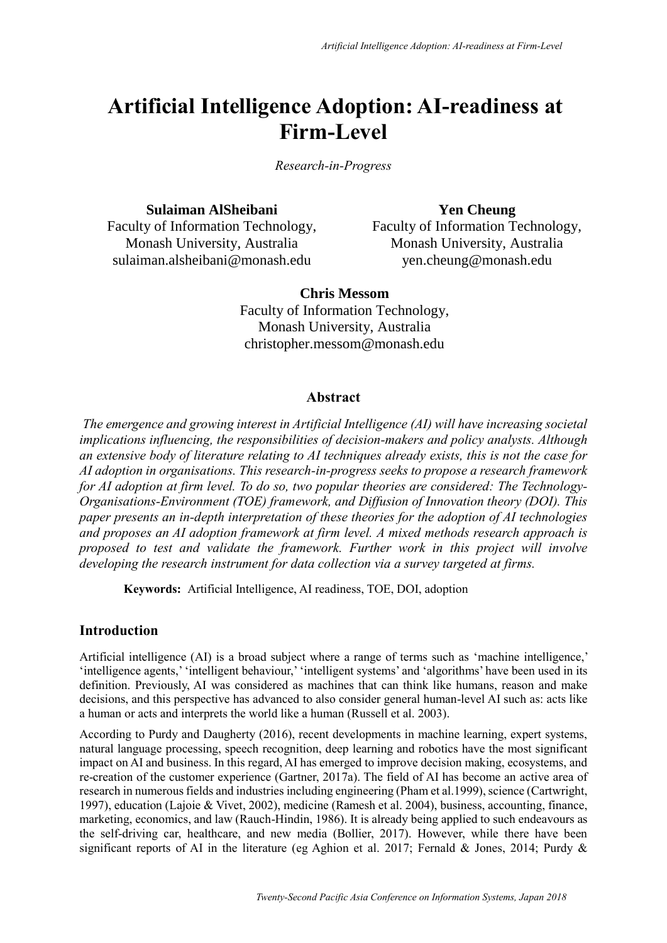# **Artificial Intelligence Adoption: AI-readiness at Firm-Level**

*Research-in-Progress*

**Sulaiman AlSheibani**

**Yen Cheung** 

Faculty of Information Technology, Monash University, Australia sulaiman.alsheibani@monash.edu

Faculty of Information Technology, Monash University, Australia yen.cheung@monash.edu

**Chris Messom** Faculty of Information Technology, Monash University, Australia christopher.messom@monash.edu

# **Abstract**

*The emergence and growing interest in Artificial Intelligence (AI) will have increasing societal implications influencing, the responsibilities of decision-makers and policy analysts. Although an extensive body of literature relating to AI techniques already exists, this is not the case for AI adoption in organisations. This research-in-progress seeks to propose a research framework for AI adoption at firm level. To do so, two popular theories are considered: The Technology-Organisations-Environment (TOE) framework, and Diffusion of Innovation theory (DOI). This paper presents an in-depth interpretation of these theories for the adoption of AI technologies and proposes an AI adoption framework at firm level. A mixed methods research approach is proposed to test and validate the framework. Further work in this project will involve developing the research instrument for data collection via a survey targeted at firms.*

**Keywords:** Artificial Intelligence, AI readiness, TOE, DOI, adoption

# **Introduction**

Artificial intelligence (AI) is a broad subject where a range of terms such as 'machine intelligence,' 'intelligence agents,' 'intelligent behaviour,' 'intelligent systems' and 'algorithms' have been used in its definition. Previously, AI was considered as machines that can think like humans, reason and make decisions, and this perspective has advanced to also consider general human-level AI such as: acts like a human or acts and interprets the world like a human (Russell et al. 2003).

According to Purdy and Daugherty (2016), recent developments in machine learning, expert systems, natural language processing, speech recognition, deep learning and robotics have the most significant impact on AI and business. In this regard, AI has emerged to improve decision making, ecosystems, and re-creation of the customer experience (Gartner, 2017a). The field of AI has become an active area of research in numerous fields and industries including engineering (Pham et al.1999), science (Cartwright, 1997), education (Lajoie & Vivet, 2002), medicine (Ramesh et al. 2004), business, accounting, finance, marketing, economics, and law (Rauch-Hindin, 1986). It is already being applied to such endeavours as the self-driving car, healthcare, and new media (Bollier, 2017). However, while there have been significant reports of AI in the literature (eg Aghion et al. 2017; Fernald & Jones, 2014; Purdy &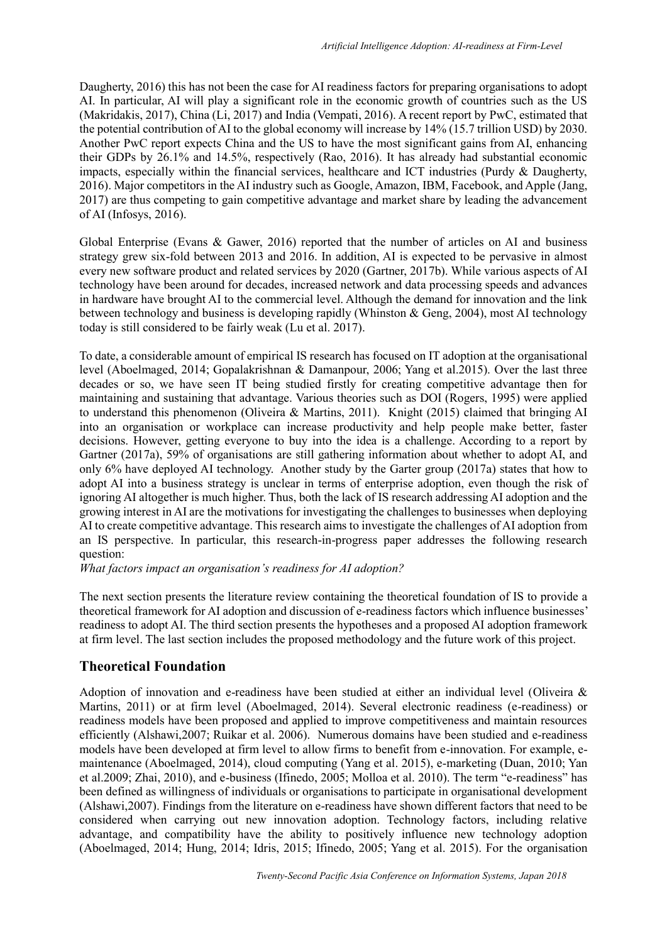Daugherty, 2016) this has not been the case for AI readiness factors for preparing organisations to adopt AI. In particular, AI will play a significant role in the economic growth of countries such as the US (Makridakis, 2017), China (Li, 2017) and India (Vempati, 2016). A recent report by PwC, estimated that the potential contribution of AI to the global economy will increase by 14% (15.7 trillion USD) by 2030. Another PwC report expects China and the US to have the most significant gains from AI, enhancing their GDPs by 26.1% and 14.5%, respectively (Rao, 2016). It has already had substantial economic impacts, especially within the financial services, healthcare and ICT industries (Purdy & Daugherty, 2016). Major competitors in the AI industry such as Google, Amazon, IBM, Facebook, and Apple (Jang, 2017) are thus competing to gain competitive advantage and market share by leading the advancement of AI (Infosys, 2016).

Global Enterprise (Evans & Gawer, 2016) reported that the number of articles on AI and business strategy grew six-fold between 2013 and 2016. In addition, AI is expected to be pervasive in almost every new software product and related services by 2020 (Gartner, 2017b). While various aspects of AI technology have been around for decades, increased network and data processing speeds and advances in hardware have brought AI to the commercial level. Although the demand for innovation and the link between technology and business is developing rapidly (Whinston & Geng, 2004), most AI technology today is still considered to be fairly weak (Lu et al. 2017).

To date, a considerable amount of empirical IS research has focused on IT adoption at the organisational level (Aboelmaged, 2014; Gopalakrishnan & Damanpour, 2006; Yang et al.2015). Over the last three decades or so, we have seen IT being studied firstly for creating competitive advantage then for maintaining and sustaining that advantage. Various theories such as DOI (Rogers, 1995) were applied to understand this phenomenon (Oliveira & Martins, 2011). Knight (2015) claimed that bringing AI into an organisation or workplace can increase productivity and help people make better, faster decisions. However, getting everyone to buy into the idea is a challenge. According to a report by Gartner (2017a), 59% of organisations are still gathering information about whether to adopt AI, and only 6% have deployed AI technology. Another study by the Garter group (2017a) states that how to adopt AI into a business strategy is unclear in terms of enterprise adoption, even though the risk of ignoring AI altogether is much higher. Thus, both the lack of IS research addressing AI adoption and the growing interest in AI are the motivations for investigating the challenges to businesses when deploying AI to create competitive advantage. This research aims to investigate the challenges of AI adoption from an IS perspective. In particular, this research-in-progress paper addresses the following research question:

*What factors impact an organisation's readiness for AI adoption?*

The next section presents the literature review containing the theoretical foundation of IS to provide a theoretical framework for AI adoption and discussion of e-readiness factors which influence businesses' readiness to adopt AI. The third section presents the hypotheses and a proposed AI adoption framework at firm level. The last section includes the proposed methodology and the future work of this project.

# **Theoretical Foundation**

Adoption of innovation and e-readiness have been studied at either an individual level (Oliveira & Martins, 2011) or at firm level (Aboelmaged, 2014). Several electronic readiness (e-readiness) or readiness models have been proposed and applied to improve competitiveness and maintain resources efficiently (Alshawi,2007; Ruikar et al. 2006). Numerous domains have been studied and e-readiness models have been developed at firm level to allow firms to benefit from e-innovation. For example, emaintenance (Aboelmaged, 2014), cloud computing (Yang et al. 2015), e-marketing (Duan, 2010; Yan et al.2009; Zhai, 2010), and e-business (Ifinedo, 2005; Molloa et al. 2010). The term "e-readiness" has been defined as willingness of individuals or organisations to participate in organisational development (Alshawi,2007). Findings from the literature on e-readiness have shown different factors that need to be considered when carrying out new innovation adoption. Technology factors, including relative advantage, and compatibility have the ability to positively influence new technology adoption (Aboelmaged, 2014; Hung, 2014; Idris, 2015; Ifinedo, 2005; Yang et al. 2015). For the organisation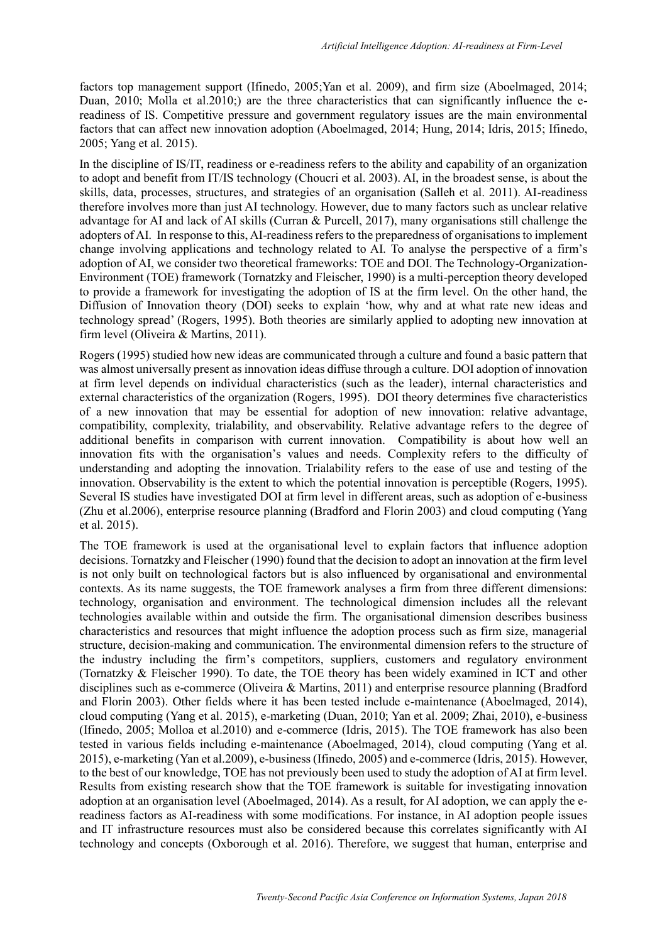factors top management support (Ifinedo, 2005;Yan et al. 2009), and firm size (Aboelmaged, 2014; Duan, 2010; Molla et al. 2010;) are the three characteristics that can significantly influence the ereadiness of IS. Competitive pressure and government regulatory issues are the main environmental factors that can affect new innovation adoption (Aboelmaged, 2014; Hung, 2014; Idris, 2015; Ifinedo, 2005; Yang et al. 2015).

In the discipline of IS/IT, readiness or e-readiness refers to the ability and capability of an organization to adopt and benefit from IT/IS technology (Choucri et al. 2003). AI, in the broadest sense, is about the skills, data, processes, structures, and strategies of an organisation (Salleh et al. 2011). AI-readiness therefore involves more than just AI technology. However, due to many factors such as unclear relative advantage for AI and lack of AI skills (Curran & Purcell, 2017), many organisations still challenge the adopters of AI. In response to this, AI-readiness refers to the preparedness of organisations to implement change involving applications and technology related to AI. To analyse the perspective of a firm's adoption of AI, we consider two theoretical frameworks: TOE and DOI. The Technology-Organization-Environment (TOE) framework (Tornatzky and Fleischer, 1990) is a multi-perception theory developed to provide a framework for investigating the adoption of IS at the firm level. On the other hand, the Diffusion of Innovation theory (DOI) seeks to explain 'how, why and at what rate new ideas and technology spread' (Rogers, 1995). Both theories are similarly applied to adopting new innovation at firm level (Oliveira & Martins, 2011).

Rogers (1995) studied how new ideas are communicated through a culture and found a basic pattern that was almost universally present as innovation ideas diffuse through a culture. DOI adoption of innovation at firm level depends on individual characteristics (such as the leader), internal characteristics and external characteristics of the organization (Rogers, 1995). DOI theory determines five characteristics of a new innovation that may be essential for adoption of new innovation: relative advantage, compatibility, complexity, trialability, and observability. Relative advantage refers to the degree of additional benefits in comparison with current innovation. Compatibility is about how well an innovation fits with the organisation's values and needs. Complexity refers to the difficulty of understanding and adopting the innovation. Trialability refers to the ease of use and testing of the innovation. Observability is the extent to which the potential innovation is perceptible (Rogers, 1995). Several IS studies have investigated DOI at firm level in different areas, such as adoption of e-business (Zhu et al.2006), enterprise resource planning (Bradford and Florin 2003) and cloud computing (Yang et al. 2015).

The TOE framework is used at the organisational level to explain factors that influence adoption decisions. Tornatzky and Fleischer (1990) found that the decision to adopt an innovation at the firm level is not only built on technological factors but is also influenced by organisational and environmental contexts. As its name suggests, the TOE framework analyses a firm from three different dimensions: technology, organisation and environment. The technological dimension includes all the relevant technologies available within and outside the firm. The organisational dimension describes business characteristics and resources that might influence the adoption process such as firm size, managerial structure, decision-making and communication. The environmental dimension refers to the structure of the industry including the firm's competitors, suppliers, customers and regulatory environment (Tornatzky & Fleischer 1990). To date, the TOE theory has been widely examined in ICT and other disciplines such as e-commerce (Oliveira & Martins, 2011) and enterprise resource planning (Bradford and Florin 2003). Other fields where it has been tested include e-maintenance (Aboelmaged, 2014), cloud computing (Yang et al. 2015), e-marketing (Duan, 2010; Yan et al. 2009; Zhai, 2010), e-business (Ifinedo, 2005; Molloa et al.2010) and e-commerce (Idris, 2015). The TOE framework has also been tested in various fields including e-maintenance (Aboelmaged, 2014), cloud computing (Yang et al. 2015), e-marketing (Yan et al.2009), e-business (Ifinedo, 2005) and e-commerce (Idris, 2015). However, to the best of our knowledge, TOE has not previously been used to study the adoption of AI at firm level. Results from existing research show that the TOE framework is suitable for investigating innovation adoption at an organisation level (Aboelmaged, 2014). As a result, for AI adoption, we can apply the ereadiness factors as AI-readiness with some modifications. For instance, in AI adoption people issues and IT infrastructure resources must also be considered because this correlates significantly with AI technology and concepts (Oxborough et al. 2016). Therefore, we suggest that human, enterprise and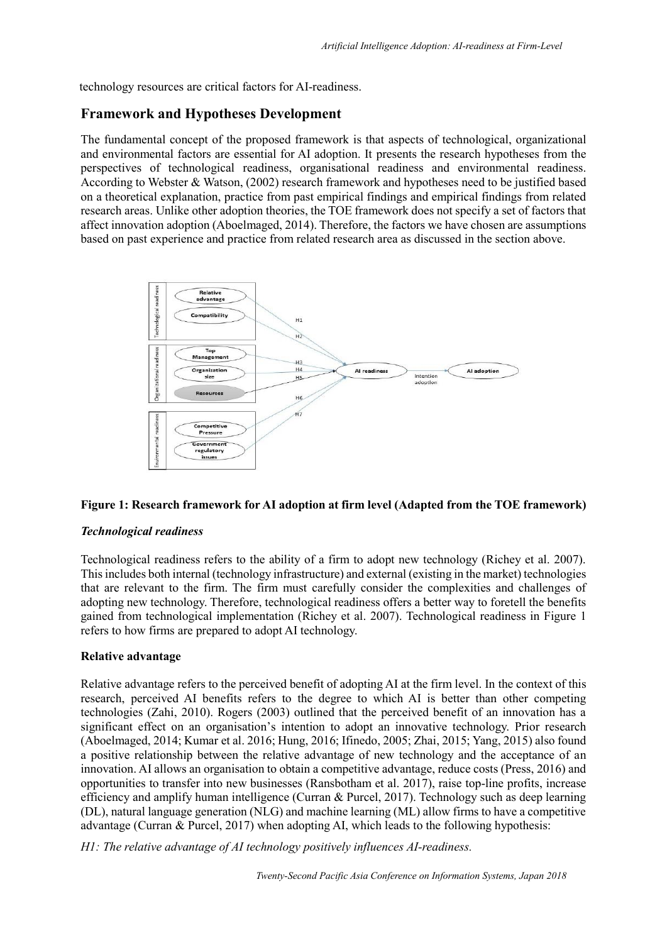technology resources are critical factors for AI-readiness.

# **Framework and Hypotheses Development**

The fundamental concept of the proposed framework is that aspects of technological, organizational and environmental factors are essential for AI adoption. It presents the research hypotheses from the perspectives of technological readiness, organisational readiness and environmental readiness. According to Webster & Watson, (2002) research framework and hypotheses need to be justified based on a theoretical explanation, practice from past empirical findings and empirical findings from related research areas. Unlike other adoption theories, the TOE framework does not specify a set of factors that affect innovation adoption (Aboelmaged, 2014). Therefore, the factors we have chosen are assumptions based on past experience and practice from related research area as discussed in the section above.



#### **Figure 1: Research framework for AI adoption at firm level (Adapted from the TOE framework)**

#### *Technological readiness*

Technological readiness refers to the ability of a firm to adopt new technology (Richey et al. 2007). This includes both internal (technology infrastructure) and external (existing in the market) technologies that are relevant to the firm. The firm must carefully consider the complexities and challenges of adopting new technology. Therefore, technological readiness offers a better way to foretell the benefits gained from technological implementation (Richey et al. 2007). Technological readiness in Figure 1 refers to how firms are prepared to adopt AI technology.

#### **Relative advantage**

Relative advantage refers to the perceived benefit of adopting AI at the firm level. In the context of this research, perceived AI benefits refers to the degree to which AI is better than other competing technologies (Zahi, 2010). Rogers (2003) outlined that the perceived benefit of an innovation has a significant effect on an organisation's intention to adopt an innovative technology. Prior research (Aboelmaged, 2014; Kumar et al. 2016; Hung, 2016; Ifinedo, 2005; Zhai, 2015; Yang, 2015) also found a positive relationship between the relative advantage of new technology and the acceptance of an innovation. AI allows an organisation to obtain a competitive advantage, reduce costs (Press, 2016) and opportunities to transfer into new businesses (Ransbotham et al. 2017), raise top-line profits, increase efficiency and amplify human intelligence (Curran & Purcel, 2017). Technology such as deep learning (DL), natural language generation (NLG) and machine learning (ML) allow firms to have a competitive advantage (Curran & Purcel, 2017) when adopting AI, which leads to the following hypothesis:

*H1: The relative advantage of AI technology positively influences AI-readiness.*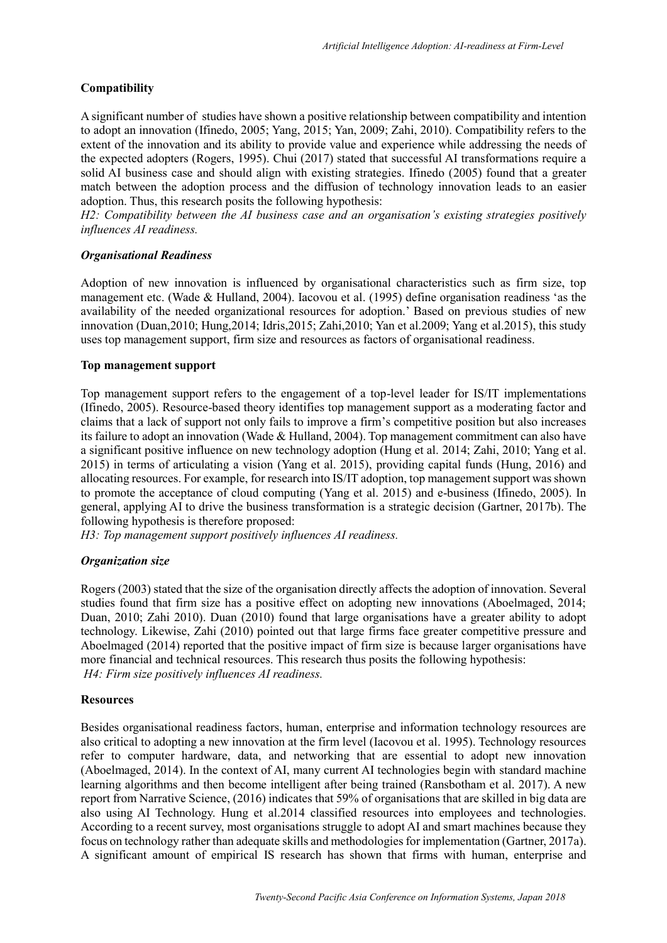### **Compatibility**

A significant number of studies have shown a positive relationship between compatibility and intention to adopt an innovation (Ifinedo, 2005; Yang, 2015; Yan, 2009; Zahi, 2010). Compatibility refers to the extent of the innovation and its ability to provide value and experience while addressing the needs of the expected adopters (Rogers, 1995). Chui (2017) stated that successful AI transformations require a solid AI business case and should align with existing strategies. Ifinedo (2005) found that a greater match between the adoption process and the diffusion of technology innovation leads to an easier adoption. Thus, this research posits the following hypothesis:

*H2: Compatibility between the AI business case and an organisation's existing strategies positively influences AI readiness.*

#### *Organisational Readiness*

Adoption of new innovation is influenced by organisational characteristics such as firm size, top management etc. (Wade & Hulland, 2004). Iacovou et al. (1995) define organisation readiness 'as the availability of the needed organizational resources for adoption.' Based on previous studies of new innovation (Duan,2010; Hung,2014; Idris,2015; Zahi,2010; Yan et al.2009; Yang et al.2015), this study uses top management support, firm size and resources as factors of organisational readiness.

#### **Top management support**

Top management support refers to the engagement of a top-level leader for IS/IT implementations (Ifinedo, 2005). Resource-based theory identifies top management support as a moderating factor and claims that a lack of support not only fails to improve a firm's competitive position but also increases its failure to adopt an innovation (Wade & Hulland, 2004). Top management commitment can also have a significant positive influence on new technology adoption (Hung et al. 2014; Zahi, 2010; Yang et al. 2015) in terms of articulating a vision (Yang et al. 2015), providing capital funds (Hung, 2016) and allocating resources. For example, for research into IS/IT adoption, top management support was shown to promote the acceptance of cloud computing (Yang et al. 2015) and e-business (Ifinedo, 2005). In general, applying AI to drive the business transformation is a strategic decision (Gartner, 2017b). The following hypothesis is therefore proposed:

*H3: Top management support positively influences AI readiness.*

#### *Organization size*

Rogers (2003) stated that the size of the organisation directly affects the adoption of innovation. Several studies found that firm size has a positive effect on adopting new innovations (Aboelmaged, 2014; Duan, 2010; Zahi 2010). Duan (2010) found that large organisations have a greater ability to adopt technology. Likewise, Zahi (2010) pointed out that large firms face greater competitive pressure and Aboelmaged (2014) reported that the positive impact of firm size is because larger organisations have more financial and technical resources. This research thus posits the following hypothesis: *H4: Firm size positively influences AI readiness.*

#### **Resources**

Besides organisational readiness factors, human, enterprise and information technology resources are also critical to adopting a new innovation at the firm level (Iacovou et al. 1995). Technology resources refer to computer hardware, data, and networking that are essential to adopt new innovation (Aboelmaged, 2014). In the context of AI, many current AI technologies begin with standard machine learning algorithms and then become intelligent after being trained (Ransbotham et al. 2017). A new report from Narrative Science, (2016) indicates that 59% of organisations that are skilled in big data are also using AI Technology. Hung et al.2014 classified resources into employees and technologies. According to a recent survey, most organisations struggle to adopt AI and smart machines because they focus on technology rather than adequate skills and methodologies for implementation (Gartner, 2017a). A significant amount of empirical IS research has shown that firms with human, enterprise and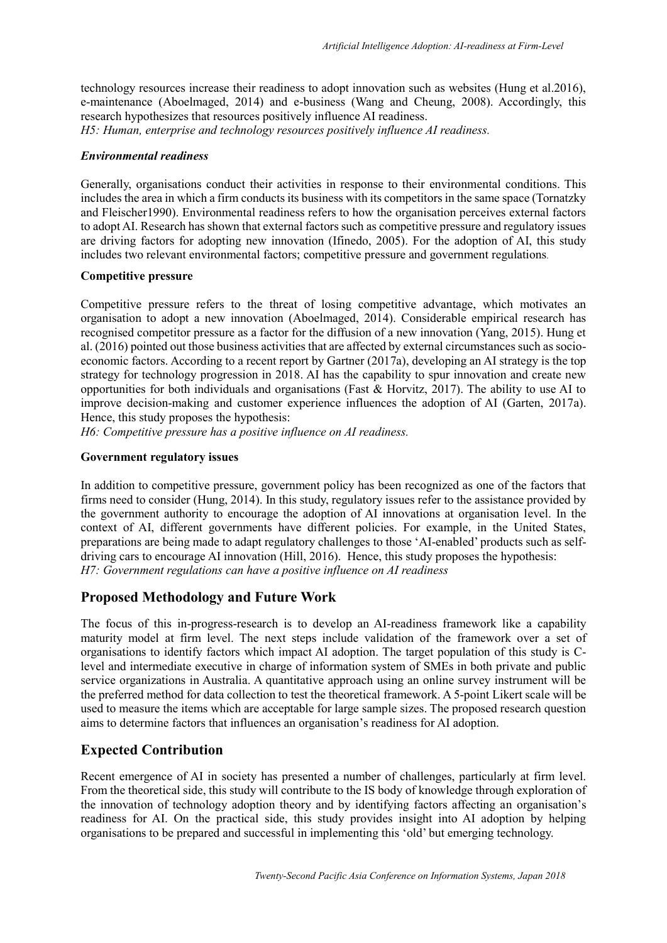technology resources increase their readiness to adopt innovation such as websites (Hung et al.2016), e-maintenance (Aboelmaged, 2014) and e-business (Wang and Cheung, 2008). Accordingly, this research hypothesizes that resources positively influence AI readiness. *H5: Human, enterprise and technology resources positively influence AI readiness.*

#### *Environmental readiness*

Generally, organisations conduct their activities in response to their environmental conditions. This includes the area in which a firm conducts its business with its competitors in the same space (Tornatzky and Fleischer1990). Environmental readiness refers to how the organisation perceives external factors to adopt AI. Research has shown that external factors such as competitive pressure and regulatory issues are driving factors for adopting new innovation (Ifinedo, 2005). For the adoption of AI, this study includes two relevant environmental factors; competitive pressure and government regulations.

#### **Competitive pressure**

Competitive pressure refers to the threat of losing competitive advantage, which motivates an organisation to adopt a new innovation (Aboelmaged, 2014). Considerable empirical research has recognised competitor pressure as a factor for the diffusion of a new innovation (Yang, 2015). Hung et al. (2016) pointed out those business activities that are affected by external circumstances such as socioeconomic factors. According to a recent report by Gartner (2017a), developing an AI strategy is the top strategy for technology progression in 2018. AI has the capability to spur innovation and create new opportunities for both individuals and organisations (Fast & Horvitz, 2017). The ability to use AI to improve decision-making and customer experience influences the adoption of AI (Garten, 2017a). Hence, this study proposes the hypothesis:

*H6: Competitive pressure has a positive influence on AI readiness.*

#### **Government regulatory issues**

In addition to competitive pressure, government policy has been recognized as one of the factors that firms need to consider (Hung, 2014). In this study, regulatory issues refer to the assistance provided by the government authority to encourage the adoption of AI innovations at organisation level. In the context of AI, different governments have different policies. For example, in the United States, preparations are being made to adapt regulatory challenges to those 'AI-enabled' products such as selfdriving cars to encourage AI innovation (Hill, 2016). Hence, this study proposes the hypothesis: *H7: Government regulations can have a positive influence on AI readiness*

# **Proposed Methodology and Future Work**

The focus of this in-progress-research is to develop an AI-readiness framework like a capability maturity model at firm level. The next steps include validation of the framework over a set of organisations to identify factors which impact AI adoption. The target population of this study is Clevel and intermediate executive in charge of information system of SMEs in both private and public service organizations in Australia. A quantitative approach using an online survey instrument will be the preferred method for data collection to test the theoretical framework. A 5-point Likert scale will be used to measure the items which are acceptable for large sample sizes. The proposed research question aims to determine factors that influences an organisation's readiness for AI adoption.

# **Expected Contribution**

Recent emergence of AI in society has presented a number of challenges, particularly at firm level. From the theoretical side, this study will contribute to the IS body of knowledge through exploration of the innovation of technology adoption theory and by identifying factors affecting an organisation's readiness for AI. On the practical side, this study provides insight into AI adoption by helping organisations to be prepared and successful in implementing this 'old' but emerging technology.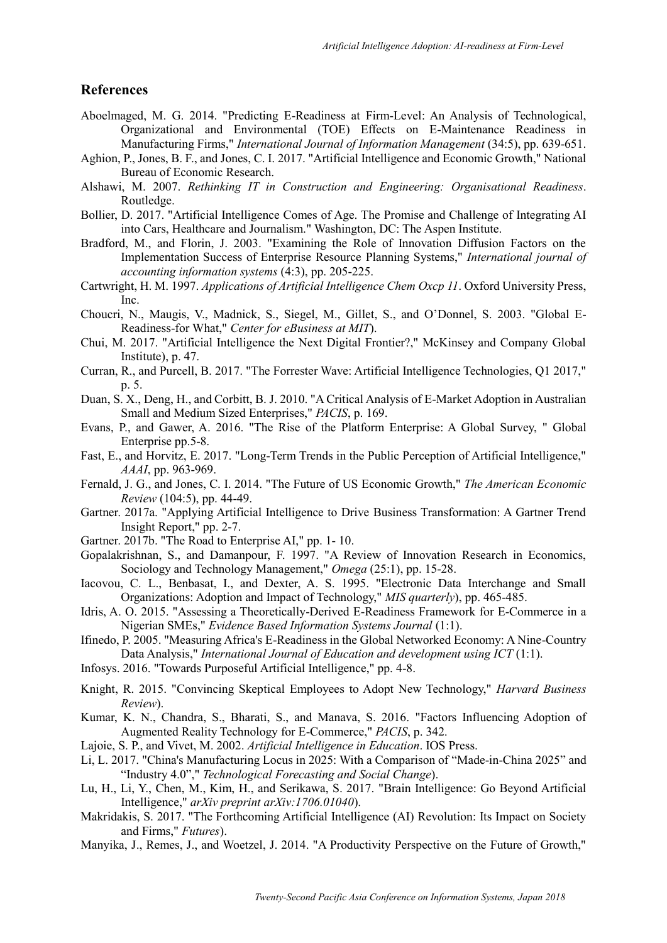#### **References**

- Aboelmaged, M. G. 2014. "Predicting E-Readiness at Firm-Level: An Analysis of Technological, Organizational and Environmental (TOE) Effects on E-Maintenance Readiness in Manufacturing Firms," *International Journal of Information Management* (34:5), pp. 639-651.
- Aghion, P., Jones, B. F., and Jones, C. I. 2017. "Artificial Intelligence and Economic Growth," National Bureau of Economic Research.
- Alshawi, M. 2007. *Rethinking IT in Construction and Engineering: Organisational Readiness*. Routledge.
- Bollier, D. 2017. "Artificial Intelligence Comes of Age. The Promise and Challenge of Integrating AI into Cars, Healthcare and Journalism." Washington, DC: The Aspen Institute.
- Bradford, M., and Florin, J. 2003. "Examining the Role of Innovation Diffusion Factors on the Implementation Success of Enterprise Resource Planning Systems," *International journal of accounting information systems* (4:3), pp. 205-225.
- Cartwright, H. M. 1997. *Applications of Artificial Intelligence Chem Oxcp 11*. Oxford University Press, Inc.
- Choucri, N., Maugis, V., Madnick, S., Siegel, M., Gillet, S., and O'Donnel, S. 2003. "Global E-Readiness-for What," *Center for eBusiness at MIT*).
- Chui, M. 2017. "Artificial Intelligence the Next Digital Frontier?," McKinsey and Company Global Institute), p. 47.
- Curran, R., and Purcell, B. 2017. "The Forrester Wave: Artificial Intelligence Technologies, Q1 2017," p. 5.
- Duan, S. X., Deng, H., and Corbitt, B. J. 2010. "A Critical Analysis of E-Market Adoption in Australian Small and Medium Sized Enterprises," *PACIS*, p. 169.
- Evans, P., and Gawer, A. 2016. "The Rise of the Platform Enterprise: A Global Survey, " Global Enterprise pp.5-8.
- Fast, E., and Horvitz, E. 2017. "Long-Term Trends in the Public Perception of Artificial Intelligence," *AAAI*, pp. 963-969.
- Fernald, J. G., and Jones, C. I. 2014. "The Future of US Economic Growth," *The American Economic Review* (104:5), pp. 44-49.
- Gartner. 2017a. "Applying Artificial Intelligence to Drive Business Transformation: A Gartner Trend Insight Report," pp. 2-7.
- Gartner. 2017b. "The Road to Enterprise AI," pp. 1- 10.
- Gopalakrishnan, S., and Damanpour, F. 1997. "A Review of Innovation Research in Economics, Sociology and Technology Management," *Omega* (25:1), pp. 15-28.
- Iacovou, C. L., Benbasat, I., and Dexter, A. S. 1995. "Electronic Data Interchange and Small Organizations: Adoption and Impact of Technology," *MIS quarterly*), pp. 465-485.
- Idris, A. O. 2015. "Assessing a Theoretically-Derived E-Readiness Framework for E-Commerce in a Nigerian SMEs," *Evidence Based Information Systems Journal* (1:1).
- Ifinedo, P. 2005. "Measuring Africa's E-Readiness in the Global Networked Economy: A Nine-Country Data Analysis," *International Journal of Education and development using ICT* (1:1).
- Infosys. 2016. "Towards Purposeful Artificial Intelligence," pp. 4-8.
- Knight, R. 2015. "Convincing Skeptical Employees to Adopt New Technology," *Harvard Business Review*).
- Kumar, K. N., Chandra, S., Bharati, S., and Manava, S. 2016. "Factors Influencing Adoption of Augmented Reality Technology for E-Commerce," *PACIS*, p. 342.
- Lajoie, S. P., and Vivet, M. 2002. *Artificial Intelligence in Education*. IOS Press.
- Li, L. 2017. "China's Manufacturing Locus in 2025: With a Comparison of "Made-in-China 2025" and "Industry 4.0"," *Technological Forecasting and Social Change*).
- Lu, H., Li, Y., Chen, M., Kim, H., and Serikawa, S. 2017. "Brain Intelligence: Go Beyond Artificial Intelligence," *arXiv preprint arXiv:1706.01040*).
- Makridakis, S. 2017. "The Forthcoming Artificial Intelligence (AI) Revolution: Its Impact on Society and Firms," *Futures*).
- Manyika, J., Remes, J., and Woetzel, J. 2014. "A Productivity Perspective on the Future of Growth,"